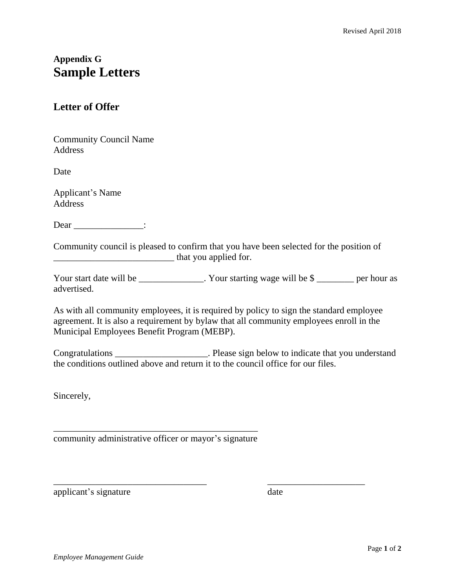## **Appendix G Sample Letters**

## **Letter of Offer**

Community Council Name Address

Date

Applicant's Name Address

Dear \_\_\_\_\_\_\_\_\_\_\_\_\_\_\_:

Community council is pleased to confirm that you have been selected for the position of \_\_\_\_\_\_\_\_\_\_\_\_\_\_\_\_\_\_\_\_\_\_\_\_\_\_ that you applied for.

Your start date will be \_\_\_\_\_\_\_\_\_\_\_\_. Your starting wage will be \$ \_\_\_\_\_\_\_\_ per hour as advertised.

As with all community employees, it is required by policy to sign the standard employee agreement. It is also a requirement by bylaw that all community employees enroll in the Municipal Employees Benefit Program (MEBP).

Congratulations \_\_\_\_\_\_\_\_\_\_\_\_\_\_\_\_\_\_\_\_. Please sign below to indicate that you understand the conditions outlined above and return it to the council office for our files.

\_\_\_\_\_\_\_\_\_\_\_\_\_\_\_\_\_\_\_\_\_\_\_\_\_\_\_\_\_\_\_\_\_ \_\_\_\_\_\_\_\_\_\_\_\_\_\_\_\_\_\_\_\_\_

Sincerely,

\_\_\_\_\_\_\_\_\_\_\_\_\_\_\_\_\_\_\_\_\_\_\_\_\_\_\_\_\_\_\_\_\_\_\_\_\_\_\_\_\_\_\_\_ community administrative officer or mayor's signature

applicant's signature date